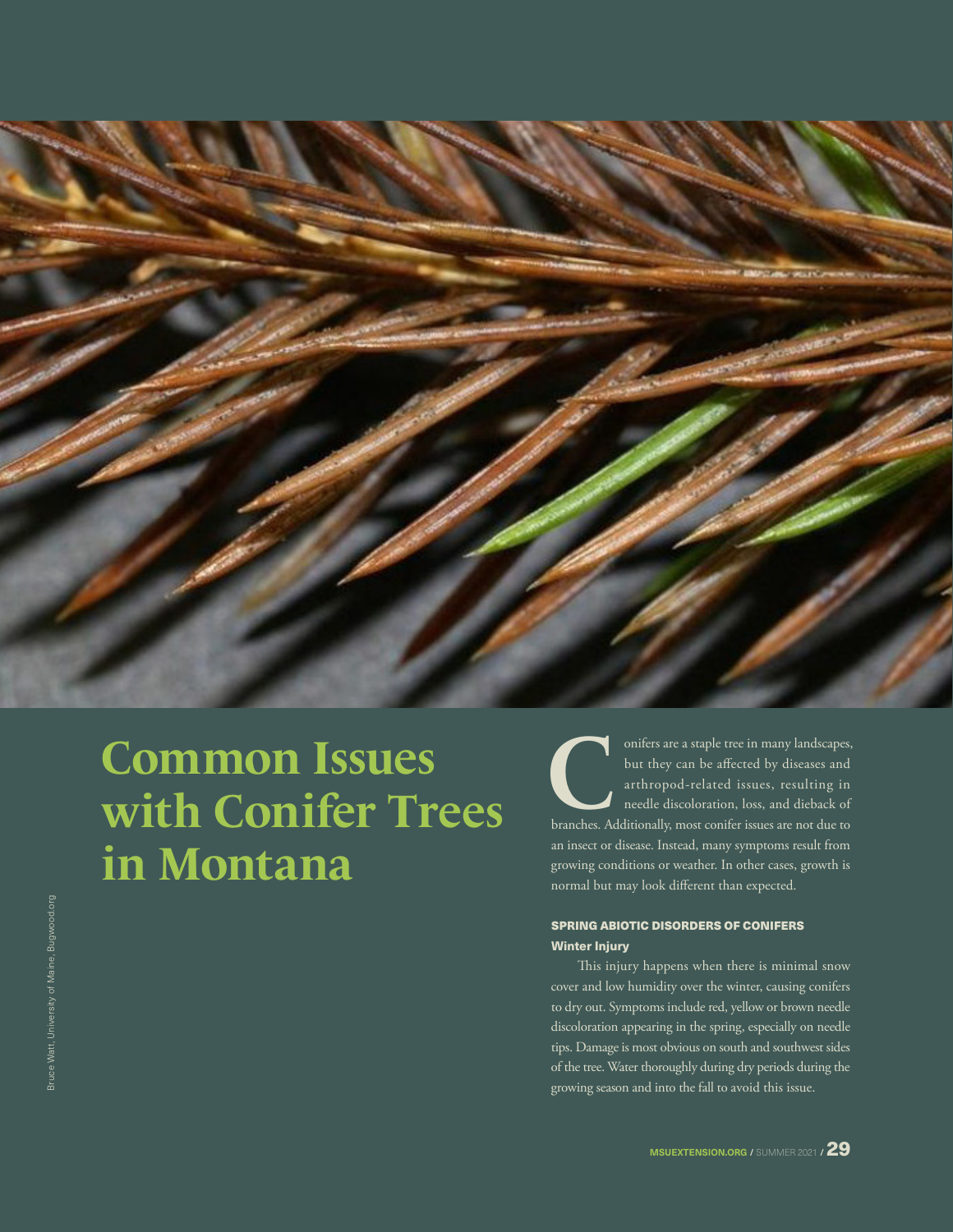

# **Common Issues with Conifer Trees in Montana**

onifers are a staple tree in many landscapes,<br>but they can be affected by diseases and<br>arthropod-related issues, resulting in<br>needle discoloration, loss, and dieback of<br>branches. Additionally, most conifer issues are not d but they can be affected by diseases and arthropod-related issues, resulting in needle discoloration, loss, and dieback of an insect or disease. Instead, many symptoms result from growing conditions or weather. In other cases, growth is normal but may look different than expected.

# SPRING ABIOTIC DISORDERS OF CONIFERS Winter Injury

This injury happens when there is minimal snow cover and low humidity over the winter, causing conifers to dry out. Symptoms include red, yellow or brown needle discoloration appearing in the spring, especially on needle tips. Damage is most obvious on south and southwest sides of the tree. Water thoroughly during dry periods during the growing season and into the fall to avoid this issue.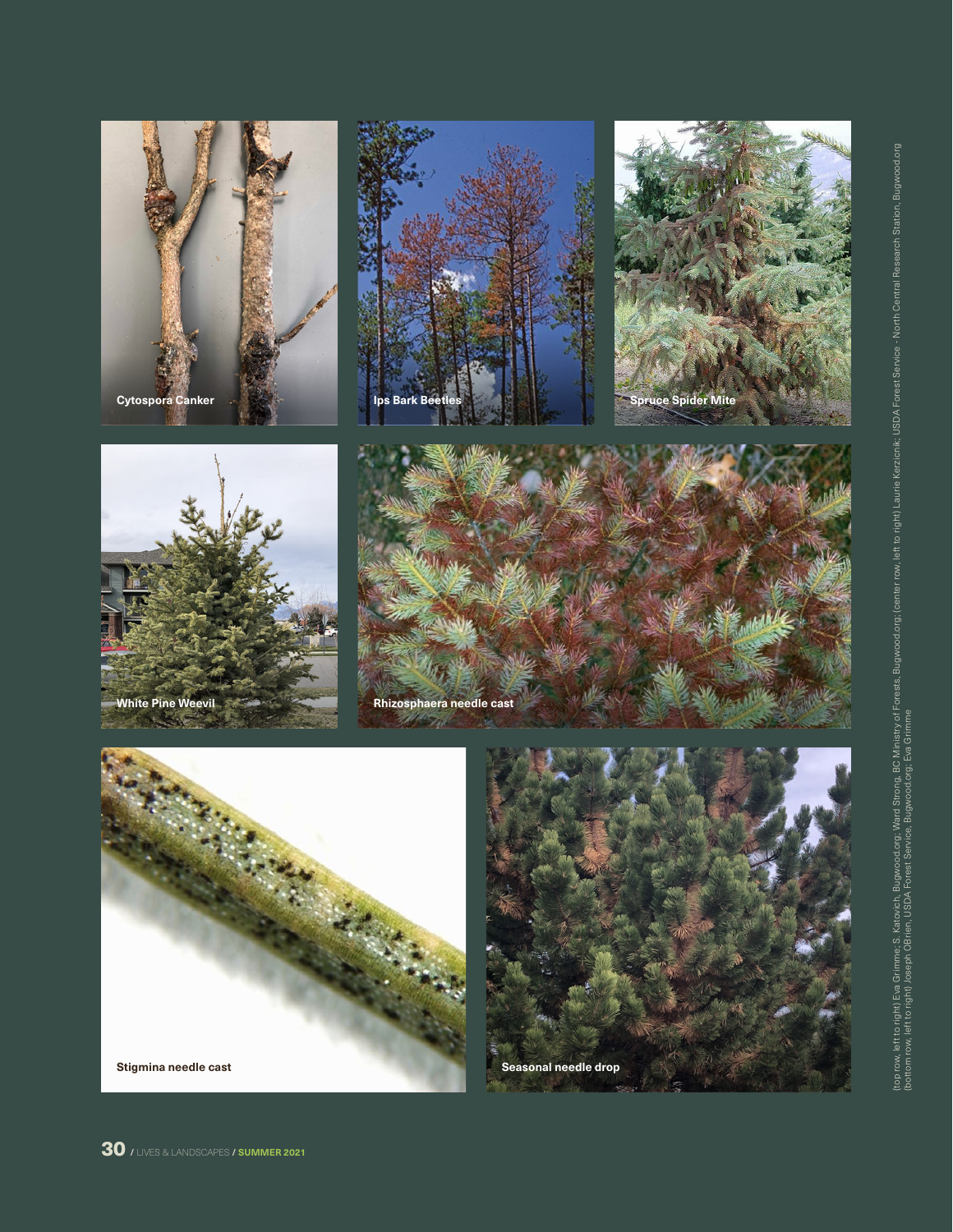

**Stigmina needle cast**